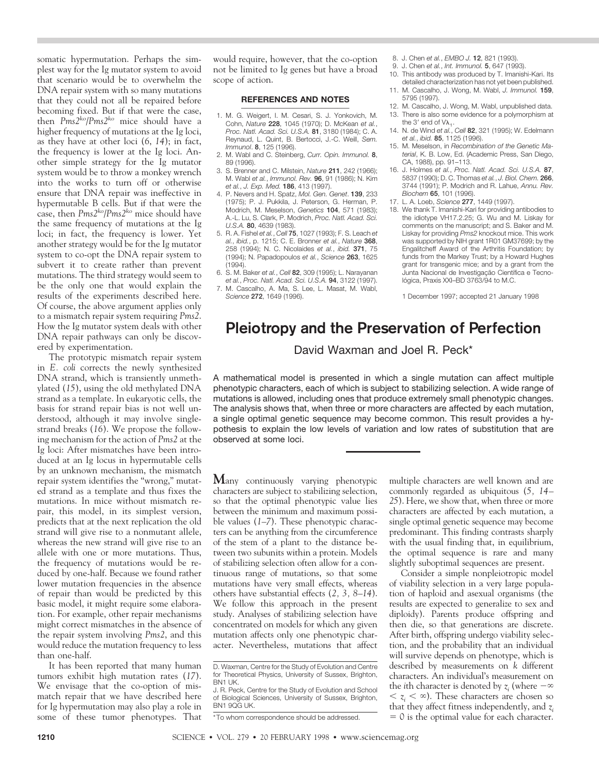somatic hypermutation. Perhaps the simplest way for the Ig mutator system to avoid that scenario would be to overwhelm the DNA repair system with so many mutations that they could not all be repaired before becoming fixed. But if that were the case, then *Pms2ko*/*Pms2ko* mice should have a higher frequency of mutations at the Ig loci, as they have at other loci (*6*, *14*); in fact, the frequency is lower at the Ig loci. Another simple strategy for the Ig mutator system would be to throw a monkey wrench into the works to turn off or otherwise ensure that DNA repair was ineffective in hypermutable B cells. But if that were the case, then *Pms2ko*/*Pms2ko* mice should have the same frequency of mutations at the Ig loci; in fact, the frequency is lower. Yet another strategy would be for the Ig mutator system to co-opt the DNA repair system to subvert it to create rather than prevent mutations. The third strategy would seem to be the only one that would explain the results of the experiments described here. Of course, the above argument applies only to a mismatch repair system requiring *Pms2*. How the Ig mutator system deals with other DNA repair pathways can only be discovered by experimentation.

The prototypic mismatch repair system in *E. coli* corrects the newly synthesized DNA strand, which is transiently unmethylated (*15*), using the old methylated DNA strand as a template. In eukaryotic cells, the basis for strand repair bias is not well understood, although it may involve singlestrand breaks (*16*). We propose the following mechanism for the action of *Pms2* at the Ig loci: After mismatches have been introduced at an Ig locus in hypermutable cells by an unknown mechanism, the mismatch repair system identifies the "wrong," mutated strand as a template and thus fixes the mutations. In mice without mismatch repair, this model, in its simplest version, predicts that at the next replication the old strand will give rise to a nonmutant allele, whereas the new strand will give rise to an allele with one or more mutations. Thus, the frequency of mutations would be reduced by one-half. Because we found rather lower mutation frequencies in the absence of repair than would be predicted by this basic model, it might require some elaboration. For example, other repair mechanisms might correct mismatches in the absence of the repair system involving *Pms2*, and this would reduce the mutation frequency to less than one-half.

It has been reported that many human tumors exhibit high mutation rates (*17*). We envisage that the co-option of mismatch repair that we have described here for Ig hypermutation may also play a role in some of these tumor phenotypes. That would require, however, that the co-option not be limited to Ig genes but have a broad scope of action.

## **REFERENCES AND NOTES \_\_\_\_\_\_\_\_\_\_\_\_\_\_\_\_\_\_\_\_\_\_\_\_\_\_\_**

- 1. M. G. Weigert, I. M. Cesari, S. J. Yonkovich, M. Cohn, *Nature* **228**, 1045 (1970); D. McKean *et al.*, *Proc. Natl. Acad. Sci. U.S.A.* **81**, 3180 (1984); C. A. Reynaud, L. Quint, B. Bertocci, J.-C. Weill, *Sem. Immunol*. **8**, 125 (1996).
- 2. M. Wabl and C. Steinberg, *Curr. Opin. Immunol.* **8**, 89 (1996).
- 3. S. Brenner and C. Milstein, *Nature* **211**, 242 (1966); M. Wabl *et al.*, *Immunol. Rev.* **96**, 91 (1986); N. Kim *et al.*, *J. Exp. Med.* **186**, 413 (1997).
- 4. P. Nevers and H. Spatz, *Mol. Gen. Genet*. **139**, 233 (1975); P. J. Pukkila, J. Peterson, G. Herman, P. Modrich, M. Meselson, *Genetics* **104**, 571 (1983); A.-L. Lu, S. Clark, P. Modrich, *Proc. Natl. Acad. Sci. U.S.A.* **80**, 4639 (1983).
- 5. R. A. Fishel *et al.*, *Cell* **75**, 1027 (1993); F. S. Leach *et al.*, *ibid.*, p. 1215; C. E. Bronner *et al.*, *Nature* **368**, 258 (1994); N. C. Nicolaides *et al.*, *ibid.* **371**, 75 (1994); N. Papadopoulos *et al.*, *Science* **263**, 1625 (1994).
- 6. S. M. Baker *et al.*, *Cell* **82**, 309 (1995); L. Narayanan
- *et al.*, *Proc. Natl. Acad. Sci. U.S.A.* **94**, 3122 (1997). 7. M. Cascalho, A. Ma, S. Lee, L. Masat, M. Wabl, *Science* **272**, 1649 (1996).
- 8. J. Chen *et al.*, *EMBO J.* **12**, 821 (1993).
- 9. J. Chen *et al.*, *Int. Immunol.* **5**, 647 (1993).
- 10. This antibody was produced by T. Imanishi-Kari. Its detailed characterization has not yet been published.
- 11. M. Cascalho, J. Wong, M. Wabl, *J. Immunol.* **159**, 5795 (1997). 12. M. Cascalho, J. Wong, M. Wabl, unpublished data.
- 13. There is also some evidence for a polymorphism at the 3' end of  $V_{\lambda_1}$ .
- 14. N. de Wind *et al.*, *Cell* **82**, 321 (1995); W. Edelmann *et al.*, *ibid.* **85**, 1125 (1996).
- 15. M. Meselson, in *Recombination of the Genetic Material*, K. B. Low, Ed. (Academic Press, San Diego, CA, 1988), pp. 91–113.
- 16. J. Holmes *et al.*, *Proc. Natl. Acad. Sci. U.S.A.* **87**, 5837 (1990); D. C. Thomas *et al.*, *J. Biol. Chem.* **266**, 3744 (1991); P. Modrich and R. Lahue, *Annu. Rev. Biochem* **65**, 101 (1996).
- 17. L. A. Loeb, *Science* **277**, 1449 (1997).
- 18. We thank T. Imanishi-Kari for providing antibodies to the idiotype VH17.2.25; G. Wu and M. Liskay for comments on the manuscript; and S. Baker and M. Liskay for providing *Pms2* knockout mice. This work was supported by NIH grant 1R01 GM37699; by the Engalitcheff Award of the Arthritis Foundation; by funds from the Markey Trust; by a Howard Hughes grant for transgenic mice; and by a grant from the Junta Nacional de Investigação Científica e Tecnológica, Praxis XXI–BD 3763/94 to M.C.

1 December 1997; accepted 21 January 1998

## **Pleiotropy and the Preservation of Perfection**

David Waxman and Joel R. Peck\*

A mathematical model is presented in which a single mutation can affect multiple phenotypic characters, each of which is subject to stabilizing selection. A wide range of mutations is allowed, including ones that produce extremely small phenotypic changes. The analysis shows that, when three or more characters are affected by each mutation, a single optimal genetic sequence may become common. This result provides a hypothesis to explain the low levels of variation and low rates of substitution that are observed at some loci.

**M**any continuously varying phenotypic characters are subject to stabilizing selection, so that the optimal phenotypic value lies between the minimum and maximum possible values (*1–7*). These phenotypic characters can be anything from the circumference of the stem of a plant to the distance between two subunits within a protein. Models of stabilizing selection often allow for a continuous range of mutations, so that some mutations have very small effects, whereas others have substantial effects (*2, 3, 8–14*). We follow this approach in the present study. Analyses of stabilizing selection have concentrated on models for which any given mutation affects only one phenotypic character. Nevertheless, mutations that affect multiple characters are well known and are commonly regarded as ubiquitous (*5, 14– 25*). Here, we show that, when three or more characters are affected by each mutation, a single optimal genetic sequence may become predominant. This finding contrasts sharply with the usual finding that, in equilibrium, the optimal sequence is rare and many slightly suboptimal sequences are present.

Consider a simple nonpleiotropic model of viability selection in a very large population of haploid and asexual organisms (the results are expected to generalize to sex and diploidy). Parents produce offspring and then die, so that generations are discrete. After birth, offspring undergo viability selection, and the probability that an individual will survive depends on phenotype, which is described by measurements on *k* different characters. An individual's measurement on the *i*th character is denoted by  $z_i$  (where  $-\infty$  $\langle z_i \rangle \langle \infty \rangle$ . These characters are chosen so that they affect fitness independently, and *zi*  $= 0$  is the optimal value for each character.

D. Waxman, Centre for the Study of Evolution and Centre for Theoretical Physics, University of Sussex, Brighton, BN1 UK.

J. R. Peck, Centre for the Study of Evolution and School of Biological Sciences, University of Sussex, Brighton, BN1 9QG UK.

<sup>\*</sup>To whom correspondence should be addressed.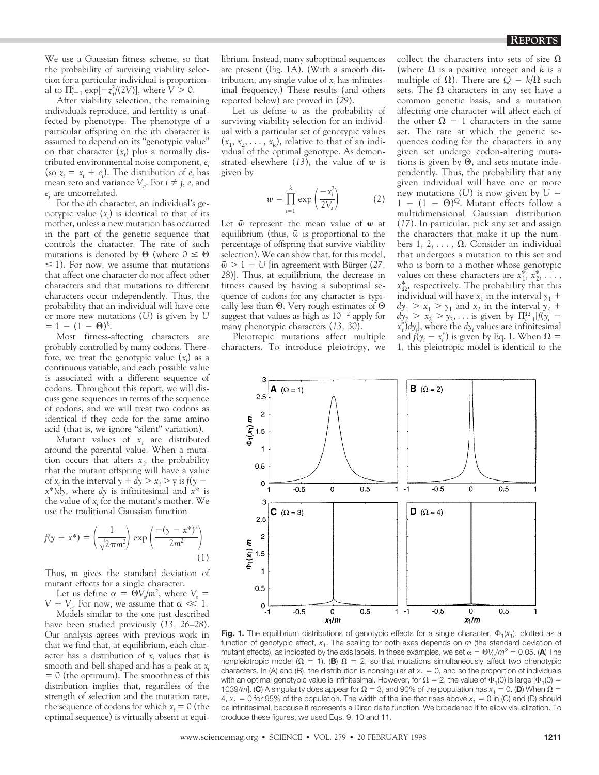We use a Gaussian fitness scheme, so that the probability of surviving viability selection for a particular individual is proportional to  $\Pi_{i=1}^k \exp[-z_i^2/(2V)]$ , where  $V > 0$ .

After viability selection, the remaining individuals reproduce, and fertility is unaffected by phenotype. The phenotype of a particular offspring on the *i*th character is assumed to depend on its "genotypic value" on that character (*xi* ) plus a normally distributed environmental noise component, *ei* (so  $z_i = x_i + e_i$ ). The distribution of  $e_i$  has mean zero and variance  $V_e$ . For  $i \neq j$ ,  $e_i$  and *ej* are uncorrelated.

For the *i*th character, an individual's genotypic value  $(x_i)$  is identical to that of its mother, unless a new mutation has occurred in the part of the genetic sequence that controls the character. The rate of such mutations is denoted by  $\Theta$  (where  $0 \leq \Theta$ )  $\leq$  1). For now, we assume that mutations that affect one character do not affect other characters and that mutations to different characters occur independently. Thus, the probability that an individual will have one or more new mutations (*U*) is given by *U*  $= 1 - (1 - \Theta)^k$ .

Most fitness-affecting characters are probably controlled by many codons. Therefore, we treat the genotypic value  $(x_i)$  as a continuous variable, and each possible value is associated with a different sequence of codons. Throughout this report, we will discuss gene sequences in terms of the sequence of codons, and we will treat two codons as identical if they code for the same amino acid (that is, we ignore "silent" variation).

Mutant values of *xi* are distributed around the parental value. When a mutation occurs that alters  $x_i$ , the probability that the mutant offspring will have a value of *x<sub>i</sub>* in the interval  $y + d\overline{y} > x_i > y$  is  $f(y$ *x*\*)*dy*, where *dy* is infinitesimal and *x*\* is the value of *xi* for the mutant's mother. We use the traditional Gaussian function

$$
f(y-x^*) = \left(\frac{1}{\sqrt{2\pi m^2}}\right) \exp\left(\frac{-(y-x^*)^2}{2m^2}\right) \tag{1}
$$

Thus, *m* gives the standard deviation of mutant effects for a single character.

Let us define  $\alpha = \Theta V_s/m^2$ , where  $V_s =$  $V + V_e$ . For now, we assume that  $\alpha \ll 1$ .

Models similar to the one just described have been studied previously (*13, 26–28*). Our analysis agrees with previous work in that we find that, at equilibrium, each character has a distribution of  $x_i$  values that is smooth and bell-shaped and has a peak at *xi*  $= 0$  (the optimum). The smoothness of this distribution implies that, regardless of the strength of selection and the mutation rate, the sequence of codons for which  $x_i = 0$  (the optimal sequence) is virtually absent at equilibrium. Instead, many suboptimal sequences are present (Fig. 1A). (With a smooth distribution, any single value of *xi* has infinitesimal frequency.) These results (and others reported below) are proved in (*29*).

Let us define *w* as the probability of surviving viability selection for an individual with a particular set of genotypic values  $(x_1, x_2, \ldots, x_k)$ , relative to that of an individual of the optimal genotype. As demonstrated elsewhere (*13*), the value of *w* is given by

$$
w = \prod_{i=1}^{k} \exp\left(\frac{-x_i^2}{2V_s}\right) \tag{2}
$$

Let  $\bar{w}$  represent the mean value of  $w$  at equilibrium (thus,  $\bar{w}$  is proportional to the percentage of offspring that survive viability selection). We can show that, for this model,  $\bar{w} > 1 - U$  [in agreement with Bürger (27, *28*)]. Thus, at equilibrium, the decrease in fitness caused by having a suboptimal sequence of codons for any character is typically less than  $\Theta$ . Very rough estimates of  $\Theta$ suggest that values as high as  $10^{-2}$  apply for many phenotypic characters (*13, 30*).

Pleiotropic mutations affect multiple characters. To introduce pleiotropy, we

collect the characters into sets of size  $\Omega$ (where  $\Omega$  is a positive integer and *k* is a multiple of  $\Omega$ ). There are  $Q = k/\Omega$  such sets. The  $\Omega$  characters in any set have a common genetic basis, and a mutation affecting one character will affect each of the other  $\Omega$  – 1 characters in the same set. The rate at which the genetic sequences coding for the characters in any given set undergo codon-altering mutations is given by  $\Theta$ , and sets mutate independently. Thus, the probability that any given individual will have one or more new mutations  $(U)$  is now given by  $U =$  $1 - (1 - \Theta)Q$ . Mutant effects follow a multidimensional Gaussian distribution (*17*). In particular, pick any set and assign the characters that make it up the numbers 1, 2,  $\dots$ ,  $\Omega$ . Consider an individual that undergoes a mutation to this set and who is born to a mother whose genotypic values on these characters are  $x_1^*, x_2^*, \ldots$ , x<sup>\*</sup><sub>0</sub>, respectively. The probability that this individual will have  $x_1$  in the interval  $y_1$  +  $dy_1 > x_1 > y_1$  and  $x_2$  in the interval  $y_2$  +  $dy_2 > x_2 > y_2, \ldots$  is given by  $\prod_{i=1}^{\Omega} [f(y_i)]$ *xi* \* )*dyi* ], where the *dyi* values are infinitesimal and  $f(y_i - x_i^*)$  is given by Eq. 1. When  $\Omega =$ 1, this pleiotropic model is identical to the



**Fig. 1.** The equilibrium distributions of genotypic effects for a single character,  $\Phi_1(x_1)$ , plotted as a function of genotypic effect, *x*1. The scaling for both axes depends on *m* (the standard deviation of mutant effects), as indicated by the axis labels. In these examples, we set  $\alpha = \Theta V_s/m^2 = 0.05$ . (**A**) The nonpleiotropic model ( $\Omega = 1$ ). (**B**)  $\Omega = 2$ , so that mutations simultaneously affect two phenotypic characters. In (A) and (B), the distribution is nonsingular at  $x_1 = 0$ , and so the proportion of individuals with an optimal genotypic value is infinitesimal. However, for  $\Omega = 2$ , the value of  $\Phi_1(0)$  is large  $[\Phi_1(0) =$ 1039/*m*]. (**C**) A singularity does appear for  $\Omega = 3$ , and 90% of the population has  $x_1 = 0$ . (**D**) When  $\Omega =$  $4, x_1 = 0$  for 95% of the population. The width of the line that rises above  $x_1 = 0$  in (C) and (D) should be infinitesimal, because it represents a Dirac delta function. We broadened it to allow visualization. To produce these figures, we used Eqs. 9, 10 and 11.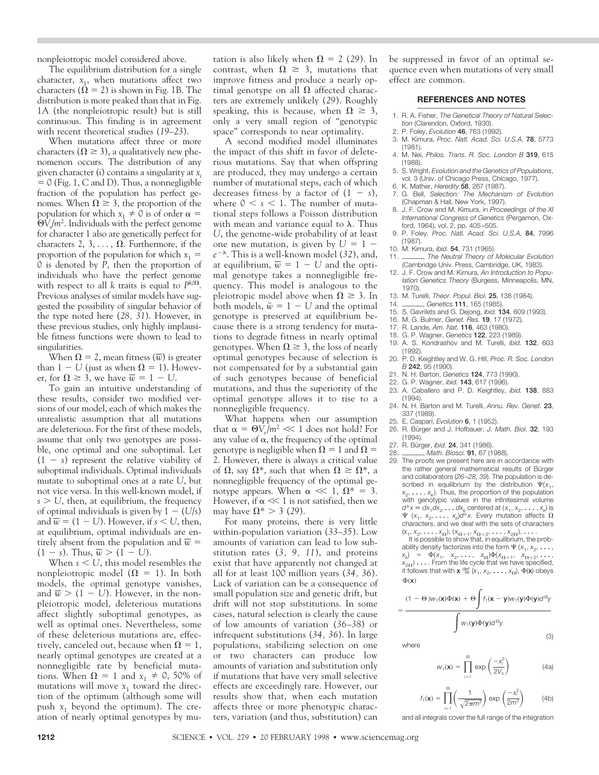nonpleiotropic model considered above.

The equilibrium distribution for a single character,  $x_1$ , when mutations affect two characters ( $\Omega = 2$ ) is shown in Fig. 1B. The distribution is more peaked than that in Fig. 1A (the nonpleiotropic result) but is still continuous. This finding is in agreement with recent theoretical studies (*19–23*).

When mutations affect three or more characters ( $\Omega \geq 3$ ), a qualitatively new phenomenon occurs. The distribution of any given character (*i*) contains a singularity at *xi*  $= 0$  (Fig. 1, C and D). Thus, a nonnegligible fraction of the population has perfect genomes. When  $\Omega \geq 3$ , the proportion of the population for which  $x_1 \neq 0$  is of order  $\alpha =$ Q*Vs* /*m*<sup>2</sup> . Individuals with the perfect genome for character 1 also are genetically perfect for characters 2, 3,  $\dots$ ,  $\Omega$ . Furthermore, if the proportion of the population for which  $x_1 =$ 0 is denoted by *P*, then the proportion of individuals who have the perfect genome with respect to all  $k$  traits is equal to  $P^{k/\Omega}$ . Previous analyses of similar models have suggested the possibility of singular behavior of the type noted here (*28, 31*). However, in these previous studies, only highly implausible fitness functions were shown to lead to singularities.

When  $\Omega = 2$ , mean fitness  $(\overline{w})$  is greater than  $1 - U$  (just as when  $\Omega = 1$ ). However, for  $\Omega \geq 3$ , we have  $\overline{w} = 1 - U$ .

To gain an intuitive understanding of these results, consider two modified versions of our model, each of which makes the unrealistic assumption that all mutations are deleterious. For the first of these models, assume that only two genotypes are possible, one optimal and one suboptimal. Let  $(1 - s)$  represent the relative viability of suboptimal individuals. Optimal individuals mutate to suboptimal ones at a rate *U*, but not vice versa. In this well-known model, if  $s > U$ , then, at equilibrium, the frequency of optimal individuals is given by  $1 - (U/s)$ and  $\overline{w} = (1 - U)$ . However, if  $s < U$ , then, at equilibrium, optimal individuals are entirely absent from the population and  $\overline{w}$  =  $(1 - s)$ . Thus,  $\overline{w} > (1 - U)$ .

When  $s < U$ , this model resembles the nonpleiotropic model  $(\Omega = 1)$ . In both models, the optimal genotype vanishes, and  $\overline{w}$  > (1 - U). However, in the nonpleiotropic model, deleterious mutations affect slightly suboptimal genotypes, as well as optimal ones. Nevertheless, some of these deleterious mutations are, effectively, canceled out, because when  $\Omega = 1$ , nearly optimal genotypes are created at a nonnegligible rate by beneficial mutations. When  $\Omega = 1$  and  $x_1 \neq 0$ , 50% of mutations will move  $x_1$  toward the direction of the optimum (although some will push  $x_1$  beyond the optimum). The creation of nearly optimal genotypes by mu-

tation is also likely when  $\Omega = 2$  (29). In contrast, when  $\Omega \geq 3$ , mutations that improve fitness and produce a nearly optimal genotype on all  $\Omega$  affected characters are extremely unlikely (*29*). Roughly speaking, this is because, when  $\Omega \geq 3$ , only a very small region of "genotypic space" corresponds to near optimality.

A second modified model illuminates the impact of this shift in favor of deleterious mutations. Say that when offspring are produced, they may undergo a certain number of mutational steps, each of which decreases fitness by a factor of  $(1 - s)$ , where  $0 < s < 1$ . The number of mutational steps follows a Poisson distribution with mean and variance equal to  $\lambda$ . Thus *U*, the genome-wide probability of at least one new mutation, is given by  $U = 1$  $e^{-\lambda}$ . This is a well-known model (32), and, at equilibrium,  $\overline{w} = 1 - U$  and the optimal genotype takes a nonnegligible frequency. This model is analogous to the pleiotropic model above when  $\Omega \geq 3$ . In both models,  $\bar{w} = 1 - U$  and the optimal genotype is preserved at equilibrium because there is a strong tendency for mutations to degrade fitness in nearly optimal genotypes. When  $\Omega \geq 3$ , the loss of nearly optimal genotypes because of selection is not compensated for by a substantial gain of such genotypes because of beneficial mutations, and thus the superiority of the optimal genotype allows it to rise to a nonnegligible frequency.

What happens when our assumption that  $\alpha = \Theta V_s/m^2 \ll 1$  does not hold? For any value of  $\alpha$ , the frequency of the optimal genotype is negligible when  $\Omega = 1$  and  $\Omega =$ 2. However, there is always a critical value of  $\Omega$ , say  $\Omega^*$ , such that when  $\Omega \geq \Omega^*$ , a nonnegligible frequency of the optimal genotype appears. When  $\alpha \ll 1$ ,  $\Omega^* = 3$ . However, if  $\alpha \ll 1$  is not satisfied, then we may have  $\Omega^* > 3$  (29).

For many proteins, there is very little within-population variation (*33–35*). Low amounts of variation can lead to low substitution rates (*3, 9, 11*), and proteins exist that have apparently not changed at all for at least 100 million years (*34, 36*). Lack of variation can be a consequence of small population size and genetic drift, but drift will not stop substitutions. In some cases, natural selection is clearly the cause of low amounts of variation (*36–38*) or infrequent substitutions (*34, 36*). In large populations, stabilizing selection on one or two characters can produce low amounts of variation and substitution only if mutations that have very small selective effects are exceedingly rare. However, our results show that, when each mutation affects three or more phenotypic characters, variation (and thus, substitution) can be suppressed in favor of an optimal sequence even when mutations of very small effect are common.

## **REFERENCES AND NOTES \_\_\_\_\_\_\_\_\_\_\_\_\_\_\_\_\_\_\_\_\_\_\_\_\_\_\_**

- 1. R. A. Fisher, *The Genetical Theory of Natural Selection* (Clarendon, Oxford, 1930).
- 2. P. Foley, *Evolution* **46**, 763 (1992).
- 3. M. Kimura, *Proc. Natl. Acad. Sci. U.S.A.* **78**, 5773 (1981).
- 4. M. Nei, *Philos. Trans. R. Soc. London B* **319**, 615 (1988).
- 5. S. Wright, *Evolution and the Genetics of Populations*, vol. 3 (Univ. of Chicago Press, Chicago, 1977).
- 6. K. Mather, *Heredity* **58**, 267 (1987).
- 7. G. Bell, *Selection: The Mechanism of Evolution* (Chapman & Hall, New York, 1997).
- 8. J. F. Crow and M. Kimura, in *Proceedings of the XI International Congress of Genetics* (Pergamon, Oxford, 1964), vol. 2, pp. 405–505.
- 9. P. Foley, *Proc. Natl. Acad. Sci. U.S.A.* **84**, 7996 (1987).
- 10. M. Kimura, *ibid.* **54**, 731 (1965).
- 11. \_\_\_\_\_\_, The Neutral Theory of Molecular Evolution (Cambridge Univ. Press, Cambridge, UK, 1983).
- 12. J. F. Crow and M. Kimura, *An Introduction to Population Genetics Theory* (Burgess, Minneapolis, MN, 1970).
- 
- 13. M. Turelli, *Theor. Popul. Biol.* **25**, 138 (1984).<br>14. **inc.** *Genetics* **111**, 165 (1985).
- 15. S. Gavrilets and G. Dejong, *ibid.* **134**, 609 (1993).
- 16. M. G. Bulmer, *Genet. Res.* **19**, 17 (1972).
- 17. R. Lande, *Am. Nat.* **116**, 463 (1980).
- 18. G. P. Wagner, *Genetics* **122**, 223 (1989). 19. A. S. Kondrashov and M. Turelli, *ibid.* **132**, 603
- (1992). 20. P. D. Keightley and W. G. Hill, *Proc. R. Soc. London B* **242**, 95 (1990).
- 21. N. H. Barton, *Genetics* **124**, 773 (1990).
- 22. G. P. Wagner, *ibid.* **143**, 617 (1996).
- 23. A. Caballero and P. D. Keightley, *ibid.* **138**, 883 (1994).
- 24. N. H. Barton and M. Turelli, *Annu. Rev. Genet.* **23**, 337 (1989).
- 25. E. Caspari, *Evolution* **6**, 1 (1952).
- 26. R. Bürger and J. Hofbauer, *J. Math. Biol.* **32**, 193 (1994).
- 27. R. Bu¨ rger, *ibid.* **24**, 341 (1986).
- 28. **iii.** *Math. Biosci.* **91**, 67 (1988).
- 29. The proofs we present here are in accordance with the rather general mathematical results of Bürger and collaborators (*26–28, 39*). The population is described in equilibrium by the distribution  $\Psi(x_1,$  $x_2, \ldots, x_k$ ). Thus, the proportion of the population with genotypic values in the infinitesimal volume  $d^k x \equiv dx_1 dx_2 \ldots dx_k$  centered at  $(x_1, x_2, \ldots, x_k)$  is  $\Psi$  ( $x_1, x_2, \ldots, x_k$ ) $d^k x$ . Every mutation affects  $\Omega$ characters, and we deal with the sets of characters

 $(x_1, x_2, \ldots, x_{\Omega}), (x_{\Omega+1}, x_{\Omega+2}, \ldots, x_{2\Omega}), \ldots$  It is possible to show that, in equilibrium, the probability density factorizes into the form  $\Psi$  ( $x_1, x_2, \ldots, x_k$ ) =  $\Phi$ ( $x_1, x_2, \ldots, x_{\Omega}$ ) $\Phi$ ( $x_{\Omega+1}, x_{\Omega+2}, \ldots, x_{\Omega}$ )  $\Phi(x_1, x_2, \ldots, x_n) \Phi(x_{n+1}, x_{n+2}, \ldots)$  $\chi_{2\Omega}^2$ )  $\ldots$  From the life cycle that we have specified, it follows that with  $\mathbf{x} \stackrel{\text{def}}{=} (x_1, x_2, \ldots, x_{\Omega}), \Phi(\mathbf{x})$  obeys  $\Phi(\mathbf{x})$ 

$$
=\frac{(1-\Theta)w_1(\mathbf{x})\Phi(\mathbf{x})+\Theta\int f_1(\mathbf{x}-\mathbf{y})w_1(\mathbf{y})\Phi(\mathbf{y})d^{\Omega}\mathbf{y}}{\int w_1(\mathbf{y})\Phi(\mathbf{y})d^{\Omega}\mathbf{y}}
$$

where

$$
w_1(\mathbf{x}) = \prod_{i=1}^{\Omega} \exp\left(\frac{-x_i^2}{2V_s}\right)
$$
 (4a)

(3)

$$
f_1(\mathbf{x}) = \prod_{i=1}^{\Omega} \left( \frac{1}{\sqrt{2\pi m^2}} \right) \exp\left( \frac{-x_i^2}{2m^2} \right) \tag{4b}
$$

and all integrals cover the full range of the integration